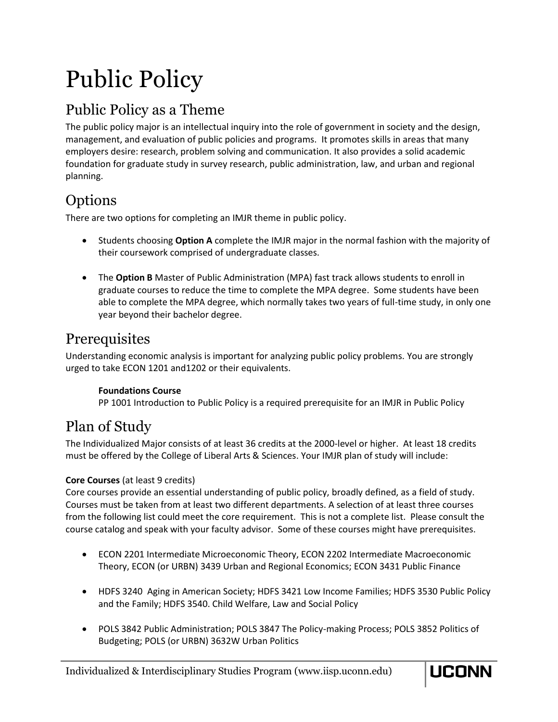# Public Policy

# Public Policy as a Theme

The public policy major is an intellectual inquiry into the role of government in society and the design, management, and evaluation of public policies and programs. It promotes skills in areas that many employers desire: research, problem solving and communication. It also provides a solid academic foundation for graduate study in survey research, public administration, law, and urban and regional planning.

### **Options**

There are two options for completing an IMJR theme in public policy.

- Students choosing **Option A** complete the IMJR major in the normal fashion with the majority of their coursework comprised of undergraduate classes.
- The **Option B** Master of Public Administration (MPA) fast track allows students to enroll in graduate courses to reduce the time to complete the MPA degree. Some students have been able to complete the MPA degree, which normally takes two years of full-time study, in only one year beyond their bachelor degree.

# **Prerequisites**

Understanding economic analysis is important for analyzing public policy problems. You are strongly urged to take ECON 1201 and1202 or their equivalents.

### **Foundations Course**

PP 1001 Introduction to Public Policy is a required prerequisite for an IMJR in Public Policy

# Plan of Study

The Individualized Major consists of at least 36 credits at the 2000-level or higher. At least 18 credits must be offered by the College of Liberal Arts & Sciences. Your IMJR plan of study will include:

### **Core Courses** (at least 9 credits)

Core courses provide an essential understanding of public policy, broadly defined, as a field of study. Courses must be taken from at least two different departments. A selection of at least three courses from the following list could meet the core requirement. This is not a complete list. Please consult the course catalog and speak with your faculty advisor. Some of these courses might have prerequisites.

- ECON 2201 Intermediate Microeconomic Theory, ECON 2202 Intermediate Macroeconomic Theory, ECON (or URBN) 3439 Urban and Regional Economics; ECON 3431 Public Finance
- HDFS 3240 Aging in American Society; HDFS 3421 Low Income Families; HDFS 3530 Public Policy and the Family; HDFS 3540. Child Welfare, Law and Social Policy
- POLS 3842 Public Administration; POLS 3847 The Policy-making Process; POLS 3852 Politics of Budgeting; POLS (or URBN) 3632W Urban Politics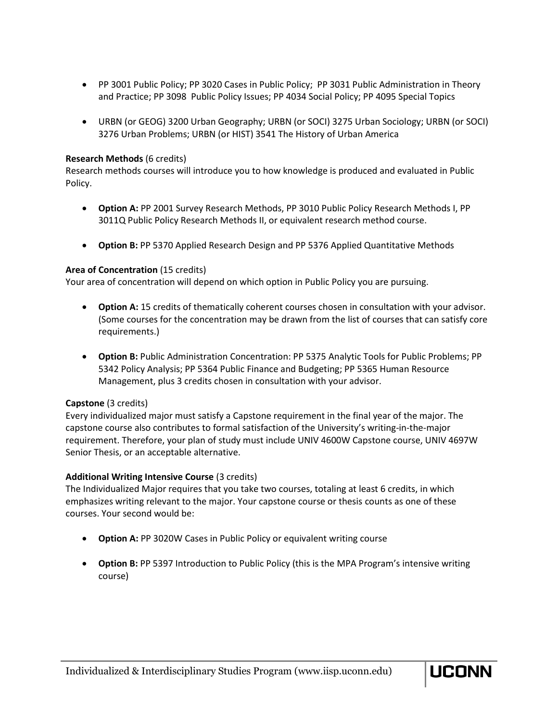- PP 3001 Public Policy; PP 3020 Cases in Public Policy; PP 3031 Public Administration in Theory and Practice; PP 3098 Public Policy Issues; PP 4034 Social Policy; PP 4095 Special Topics
- URBN (or GEOG) 3200 Urban Geography; URBN (or SOCI) 3275 Urban Sociology; URBN (or SOCI) 3276 Urban Problems; URBN (or HIST) 3541 The History of Urban America

#### **Research Methods** (6 credits)

Research methods courses will introduce you to how knowledge is produced and evaluated in Public Policy.

- **Option A:** PP 2001 Survey Research Methods, PP 3010 Public Policy Research Methods I, PP 3011Q Public Policy Research Methods II, or equivalent research method course.
- **Option B:** PP 5370 Applied Research Design and PP 5376 Applied Quantitative Methods

#### **Area of Concentration** (15 credits)

Your area of concentration will depend on which option in Public Policy you are pursuing.

- **Option A:** 15 credits of thematically coherent courses chosen in consultation with your advisor. (Some courses for the concentration may be drawn from the list of courses that can satisfy core requirements.)
- **Option B:** Public Administration Concentration: PP 5375 Analytic Tools for Public Problems; PP 5342 Policy Analysis; PP 5364 Public Finance and Budgeting; PP 5365 Human Resource Management, plus 3 credits chosen in consultation with your advisor.

#### **Capstone** (3 credits)

Every individualized major must satisfy a Capstone requirement in the final year of the major. The capstone course also contributes to formal satisfaction of the University's writing-in-the-major requirement. Therefore, your plan of study must include UNIV 4600W Capstone course, UNIV 4697W Senior Thesis, or an acceptable alternative.

#### **Additional Writing Intensive Course** (3 credits)

The Individualized Major requires that you take two courses, totaling at least 6 credits, in which emphasizes writing relevant to the major. Your capstone course or thesis counts as one of these courses. Your second would be:

- **Option A:** PP 3020W Cases in Public Policy or equivalent writing course
- **Option B:** PP 5397 Introduction to Public Policy (this is the MPA Program's intensive writing course)